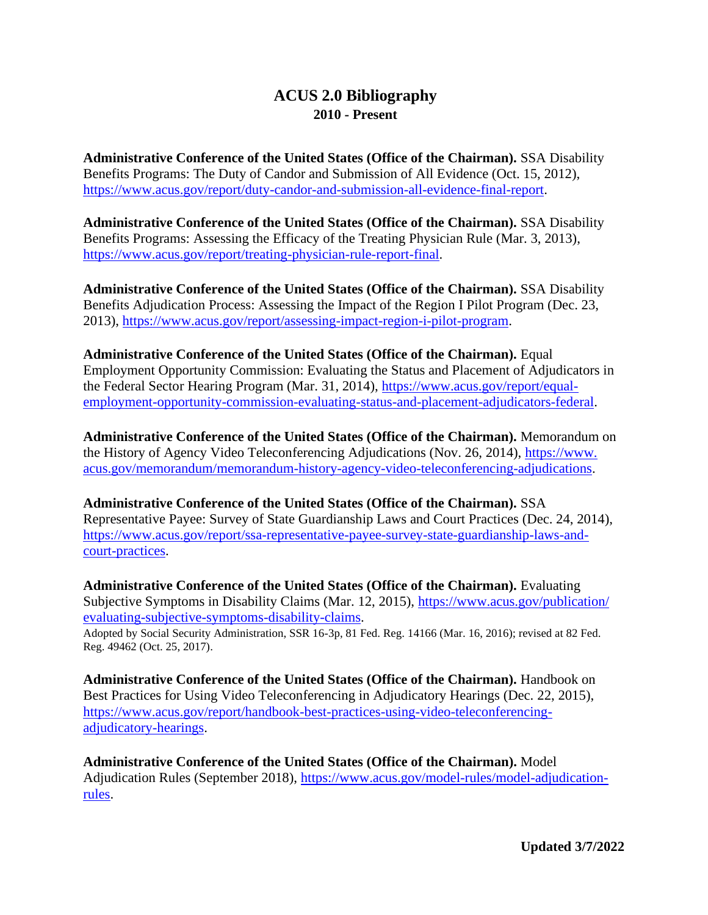## **ACUS 2.0 Bibliography 2010 - Present**

**Administrative Conference of the United States (Office of the Chairman).** SSA Disability Benefits Programs: The Duty of Candor and Submission of All Evidence (Oct. 15, 2012), [https://www.acus.gov/report/duty-candor-and-submission-all-evidence-final-report.](http://www.acus.gov/report/duty-candor-and-submission-all-evidence-final-report)

**Administrative Conference of the United States (Office of the Chairman).** SSA Disability Benefits Programs: Assessing the Efficacy of the Treating Physician Rule (Mar. 3, 2013), [https://www.acus.gov/report/treating-physician-rule-report-final.](https://www.acus.gov/report/treating-physician-rule-report-final)

**Administrative Conference of the United States (Office of the Chairman).** SSA Disability Benefits Adjudication Process: Assessing the Impact of the Region I Pilot Program (Dec. 23, 2013), [https://www.acus.gov/report/assessing-impact-region-i-pilot-program.](https://www.acus.gov/report/assessing-impact-region-i-pilot-program)

**Administrative Conference of the United States (Office of the Chairman).** Equal Employment Opportunity Commission: Evaluating the Status and Placement of Adjudicators in the Federal Sector Hearing Program (Mar. 31, 2014), [https://www.acus.gov/report/equal](https://www.acus.gov/report/equal-employment-opportunity-commission-evaluating-status-and-placement-adjudicators-federal)[employment-opportunity-commission-evaluating-status-and-placement-adjudicators-federal.](https://www.acus.gov/report/equal-employment-opportunity-commission-evaluating-status-and-placement-adjudicators-federal)

**Administrative Conference of the United States (Office of the Chairman).** Memorandum on the History of Agency Video Teleconferencing Adjudications (Nov. 26, 2014), [https://www.](https://www.acus.gov/memorandum/memorandum-history-agency-video-teleconferencing-adjudications) [acus.gov/memorandum/memorandum-history-agency-video-teleconferencing-adjudications.](https://www.acus.gov/memorandum/memorandum-history-agency-video-teleconferencing-adjudications)

**Administrative Conference of the United States (Office of the Chairman).** SSA Representative Payee: Survey of State Guardianship Laws and Court Practices (Dec. 24, 2014), [https://www.acus.gov/report/ssa-representative-payee-survey-state-guardianship-laws-and](https://www.acus.gov/report/ssa-representative-payee-survey-state-guardianship-laws-and-court-practices)[court-practices.](https://www.acus.gov/report/ssa-representative-payee-survey-state-guardianship-laws-and-court-practices)

**Administrative Conference of the United States (Office of the Chairman).** Evaluating Subjective Symptoms in Disability Claims (Mar. 12, 2015), [https://www.acus.gov/publication/](https://www.acus.gov/publication/evaluating-subjective-symptoms-disability-claims) [evaluating-subjective-symptoms-disability-claims.](https://www.acus.gov/publication/evaluating-subjective-symptoms-disability-claims)

Adopted by Social Security Administration, SSR 16-3p, 81 Fed. Reg. 14166 (Mar. 16, 2016); revised at 82 Fed. Reg. 49462 (Oct. 25, 2017).

**Administrative Conference of the United States (Office of the Chairman).** Handbook on Best Practices for Using Video Teleconferencing in Adjudicatory Hearings (Dec. 22, 2015), [https://www.acus.gov/report/handbook-best-practices-using-video-teleconferencing](https://www.acus.gov/report/handbook-best-practices-using-video-teleconferencing-adjudicatory-hearings)[adjudicatory-hearings.](https://www.acus.gov/report/handbook-best-practices-using-video-teleconferencing-adjudicatory-hearings)

**Administrative Conference of the United States (Office of the Chairman).** Model Adjudication Rules (September 2018), [https://www.acus.gov/model-rules/model-adjudication](https://www.acus.gov/model-rules/model-adjudication-rules)[rules.](https://www.acus.gov/model-rules/model-adjudication-rules)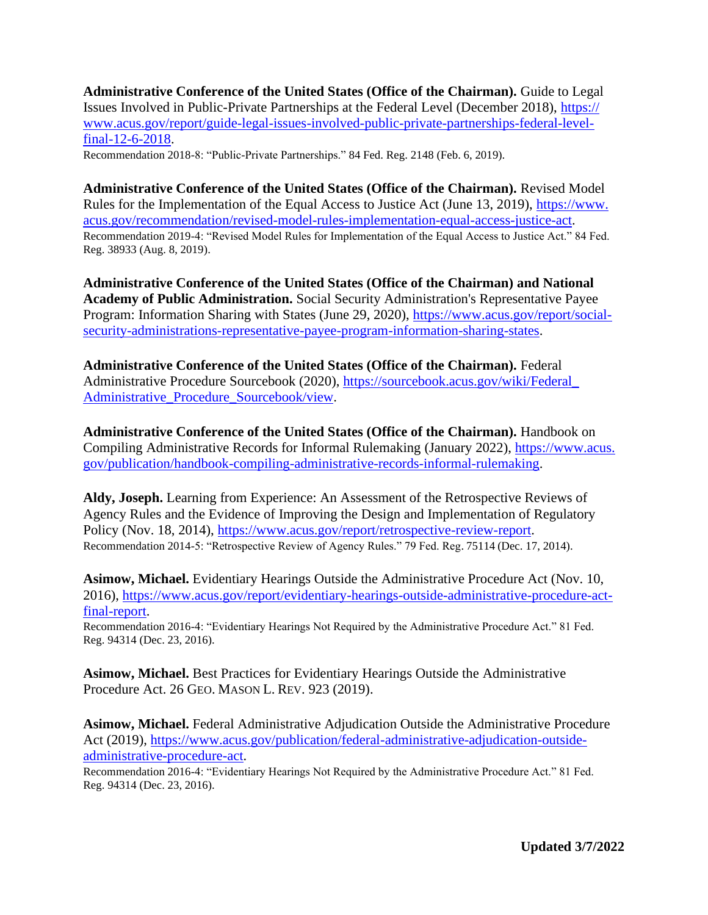**Administrative Conference of the United States (Office of the Chairman).** Guide to Legal Issues Involved in Public-Private Partnerships at the Federal Level (December 2018), [https://](https://www.acus.gov/report/guide-legal-issues-involved-public-private-partnerships-federal-level-final-12-6-2018) [www.acus.gov/report/guide-legal-issues-involved-public-private-partnerships-federal-level](https://www.acus.gov/report/guide-legal-issues-involved-public-private-partnerships-federal-level-final-12-6-2018)[final-12-6-2018.](https://www.acus.gov/report/guide-legal-issues-involved-public-private-partnerships-federal-level-final-12-6-2018)

Recommendation 2018-8: "Public-Private Partnerships." 84 Fed. Reg. 2148 (Feb. 6, 2019).

**Administrative Conference of the United States (Office of the Chairman).** Revised Model Rules for the Implementation of the Equal Access to Justice Act (June 13, 2019), [https://www.](https://www.acus.gov/recommendation/revised-model-rules-implementation-equal-access-justice-act) [acus.gov/recommendation/revised-model-rules-implementation-equal-access-justice-act.](https://www.acus.gov/recommendation/revised-model-rules-implementation-equal-access-justice-act) Recommendation 2019-4: "Revised Model Rules for Implementation of the Equal Access to Justice Act." 84 Fed. Reg. 38933 (Aug. 8, 2019).

**Administrative Conference of the United States (Office of the Chairman) and National Academy of Public Administration.** Social Security Administration's Representative Payee Program: Information Sharing with States (June 29, 2020), [https://www.acus.gov/report/social](https://www.acus.gov/report/social-security-administrations-representative-payee-program-information-sharing-states)[security-administrations-representative-payee-program-information-sharing-states.](https://www.acus.gov/report/social-security-administrations-representative-payee-program-information-sharing-states)

**Administrative Conference of the United States (Office of the Chairman).** Federal Administrative Procedure Sourcebook (2020), [https://sourcebook.acus.gov/wiki/Federal\\_](https://sourcebook.acus.gov/wiki/Federal_Administrative_Procedure_Sourcebook/view) [Administrative\\_Procedure\\_Sourcebook/view.](https://sourcebook.acus.gov/wiki/Federal_Administrative_Procedure_Sourcebook/view)

**Administrative Conference of the United States (Office of the Chairman).** Handbook on Compiling Administrative Records for Informal Rulemaking (January 2022), [https://www.acus.](https://www.acus.gov/publication/handbook-compiling-administrative-records-informal-rulemaking) [gov/publication/handbook-compiling-administrative-records-informal-rulemaking.](https://www.acus.gov/publication/handbook-compiling-administrative-records-informal-rulemaking)

**Aldy, Joseph.** Learning from Experience: An Assessment of the Retrospective Reviews of Agency Rules and the Evidence of Improving the Design and Implementation of Regulatory Policy (Nov. 18, 2014), [https://www.acus.gov/report/retrospective-review-report.](https://www.acus.gov/report/retrospective-review-report) Recommendation 2014-5: "Retrospective Review of Agency Rules." 79 Fed. Reg. 75114 (Dec. 17, 2014).

**Asimow, Michael.** Evidentiary Hearings Outside the Administrative Procedure Act (Nov. 10, 2016), [https://www.acus.gov/report/evidentiary-hearings-outside-administrative-procedure-act](https://www.acus.gov/report/evidentiary-hearings-outside-administrative-procedure-act-final-report)[final-report.](https://www.acus.gov/report/evidentiary-hearings-outside-administrative-procedure-act-final-report)

Recommendation 2016-4: "Evidentiary Hearings Not Required by the Administrative Procedure Act." 81 Fed. Reg. 94314 (Dec. 23, 2016).

**Asimow, Michael.** Best Practices for Evidentiary Hearings Outside the Administrative Procedure Act. 26 GEO. MASON L. REV. 923 (2019).

**Asimow, Michael.** Federal Administrative Adjudication Outside the Administrative Procedure Act (2019), [https://www.acus.gov/publication/federal-administrative-adjudication-outside](https://www.acus.gov/publication/federal-administrative-adjudication-outside-administrative-procedure-act)[administrative-procedure-act.](https://www.acus.gov/publication/federal-administrative-adjudication-outside-administrative-procedure-act)

Recommendation 2016-4: "Evidentiary Hearings Not Required by the Administrative Procedure Act." 81 Fed. Reg. 94314 (Dec. 23, 2016).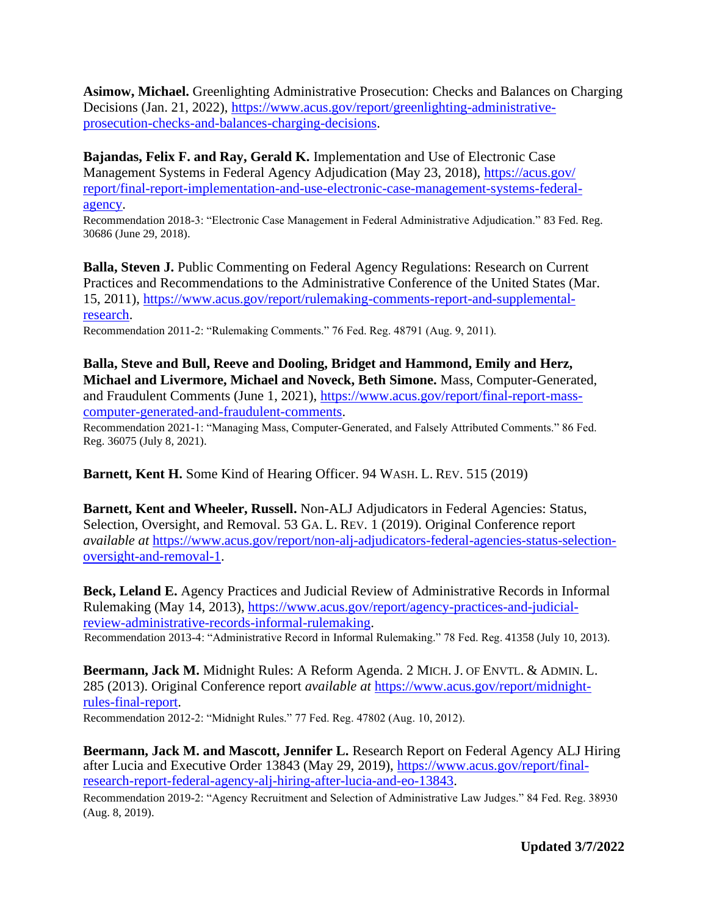**Asimow, Michael.** Greenlighting Administrative Prosecution: Checks and Balances on Charging Decisions (Jan. 21, 2022), [https://www.acus.gov/report/greenlighting-administrative](https://www.acus.gov/report/greenlighting-administrative-prosecution-checks-and-balances-charging-decisions)[prosecution-checks-and-balances-charging-decisions.](https://www.acus.gov/report/greenlighting-administrative-prosecution-checks-and-balances-charging-decisions)

**Bajandas, Felix F. and Ray, Gerald K.** Implementation and Use of Electronic Case Management Systems in Federal Agency Adjudication (May 23, 2018), https://acus.gov/ report/final-report-implementation-and-use-electronic-case-management-systems-federalagency.

Recommendation 2018-3: "Electronic Case Management in Federal Administrative Adjudication." 83 Fed. Reg. 30686 (June 29, 2018).

**Balla, Steven J. Public Commenting on Federal Agency Regulations: Research on Current** Practices and Recommendations to the Administrative Conference of the United States (Mar. 15, 2011), [https://www.acus.gov/report/rulemaking-comments-report-and-supplemental](https://www.acus.gov/report/rulemaking-comments-report-and-supplemental-research)[research.](https://www.acus.gov/report/rulemaking-comments-report-and-supplemental-research)

Recommendation 2011-2: "Rulemaking Comments." 76 Fed. Reg. 48791 (Aug. 9, 2011).

**Balla, Steve and Bull, Reeve and Dooling, Bridget and Hammond, Emily and Herz, Michael and Livermore, Michael and Noveck, Beth Simone.** Mass, Computer-Generated, and Fraudulent Comments (June 1, 2021), [https://www.acus.gov/report/final-report-mass](https://www.acus.gov/report/final-report-mass-computer-generated-and-fraudulent-comments)[computer-generated-and-fraudulent-comments.](https://www.acus.gov/report/final-report-mass-computer-generated-and-fraudulent-comments)

Recommendation 2021-1: "Managing Mass, Computer-Generated, and Falsely Attributed Comments." 86 Fed. Reg. 36075 (July 8, 2021).

**Barnett, Kent H.** Some Kind of Hearing Officer. 94 WASH. L. REV. 515 (2019)

**Barnett, Kent and Wheeler, Russell.** Non-ALJ Adjudicators in Federal Agencies: Status, Selection, Oversight, and Removal. 53 GA. L. REV. 1 (2019). Original Conference report *available at* [https://www.acus.gov/report/non-alj-adjudicators-federal-agencies-status-selection](https://www.acus.gov/report/non-alj-adjudicators-federal-agencies-status-selection-oversight-and-removal-1)[oversight-and-removal-1.](https://www.acus.gov/report/non-alj-adjudicators-federal-agencies-status-selection-oversight-and-removal-1)

**Beck, Leland E.** Agency Practices and Judicial Review of Administrative Records in Informal Rulemaking (May 14, 2013), [https://www.acus.gov/report/agency-practices-and-judicial](https://www.acus.gov/report/agency-practices-and-judicial-review-administrative-records-informal-rulemaking)[review-administrative-records-informal-rulemaking.](https://www.acus.gov/report/agency-practices-and-judicial-review-administrative-records-informal-rulemaking) Recommendation 2013-4: "Administrative Record in Informal Rulemaking." 78 Fed. Reg. 41358 (July 10, 2013).

**Beermann, Jack M.** Midnight Rules: A Reform Agenda. 2 MICH. J. OF ENVTL. & ADMIN. L. 285 (2013). Original Conference report *available at* [https://www.acus.gov/report/midnight](https://www.acus.gov/report/midnight-rules-final-report)[rules-final-report.](https://www.acus.gov/report/midnight-rules-final-report) Recommendation 2012-2: "Midnight Rules." 77 Fed. Reg. 47802 (Aug. 10, 2012).

**Beermann, Jack M. and Mascott, Jennifer L.** Research Report on Federal Agency ALJ Hiring after Lucia and Executive Order 13843 (May 29, 2019), [https://www.acus.gov/report/final](https://www.acus.gov/report/final-research-report-federal-agency-alj-hiring-after-lucia-and-eo-13843)[research-report-federal-agency-alj-hiring-after-lucia-and-eo-13843.](https://www.acus.gov/report/final-research-report-federal-agency-alj-hiring-after-lucia-and-eo-13843)

Recommendation 2019-2: "Agency Recruitment and Selection of Administrative Law Judges." 84 Fed. Reg. 38930 (Aug. 8, 2019).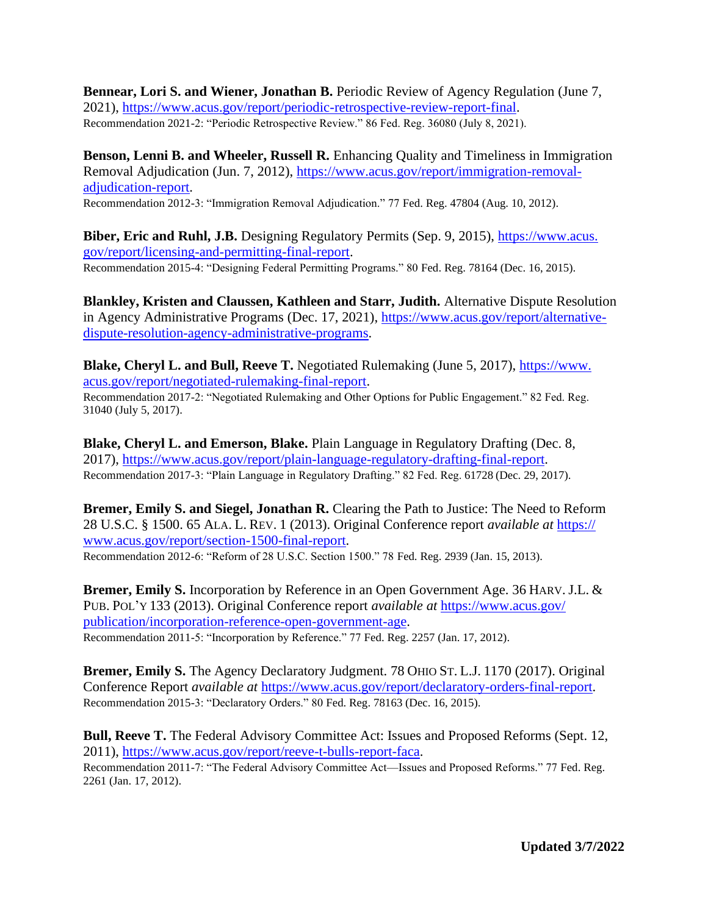**Bennear, Lori S. and Wiener, Jonathan B.** Periodic Review of Agency Regulation (June 7, 2021), [https://www.acus.gov/report/periodic-retrospective-review-report-final.](https://www.acus.gov/report/periodic-retrospective-review-report-final) Recommendation 2021-2: "Periodic Retrospective Review." 86 Fed. Reg. 36080 (July 8, 2021).

**Benson, Lenni B. and Wheeler, Russell R.** Enhancing Quality and Timeliness in Immigration Removal Adjudication (Jun. 7, 2012), [https://www.acus.gov/report/immigration-removal](https://www.acus.gov/report/immigration-removal-adjudication-report)[adjudication-report.](https://www.acus.gov/report/immigration-removal-adjudication-report)

Recommendation 2012-3: "Immigration Removal Adjudication." 77 Fed. Reg. 47804 (Aug. 10, 2012).

**Biber, Eric and Ruhl, J.B.** Designing Regulatory Permits (Sep. 9, 2015), [https://www.acus.](https://www.acus.gov/report/licensing-and-permitting-final-report) [gov/report/licensing-and-permitting-final-report.](https://www.acus.gov/report/licensing-and-permitting-final-report) Recommendation 2015-4: "Designing Federal Permitting Programs." 80 Fed. Reg. 78164 (Dec. 16, 2015).

**Blankley, Kristen and Claussen, Kathleen and Starr, Judith.** Alternative Dispute Resolution in Agency Administrative Programs (Dec. 17, 2021), [https://www.acus.gov/report/alternative](https://www.acus.gov/report/alternative-dispute-resolution-agency-administrative-programs)[dispute-resolution-agency-administrative-programs.](https://www.acus.gov/report/alternative-dispute-resolution-agency-administrative-programs)

**Blake, Cheryl L. and Bull, Reeve T.** Negotiated Rulemaking (June 5, 2017), [https://www.](https://www.acus.gov/report/negotiated-rulemaking-final-report) [acus.gov/report/negotiated-rulemaking-final-report.](https://www.acus.gov/report/negotiated-rulemaking-final-report)

Recommendation 2017-2: "Negotiated Rulemaking and Other Options for Public Engagement." 82 Fed. Reg. 31040 (July 5, 2017).

**Blake, Cheryl L. and Emerson, Blake.** Plain Language in Regulatory Drafting (Dec. 8, 2017), [https://www.acus.gov/report/plain-language-regulatory-drafting-final-report.](https://www.acus.gov/report/plain-language-regulatory-drafting-final-report) Recommendation 2017-3: "Plain Language in Regulatory Drafting." 82 Fed. Reg. 61728 (Dec. 29, 2017).

**Bremer, Emily S. and Siegel, Jonathan R.** Clearing the Path to Justice: The Need to Reform 28 U.S.C. § 1500. 65 ALA. L. REV. 1 (2013). Original Conference report *available at* [https://](https://www.acus.gov/report/section-1500-final-report) [www.acus.gov/report/section-1500-final-report.](https://www.acus.gov/report/section-1500-final-report) Recommendation 2012-6: "Reform of 28 U.S.C. Section 1500." 78 Fed. Reg. 2939 (Jan. 15, 2013).

**Bremer, Emily S.** Incorporation by Reference in an Open Government Age. 36 HARV. J.L. & PUB. POL'Y 133 (2013). Original Conference report *available at* [https://www.acus.gov/](https://www.acus.gov/publication/incorporation-reference-open-government-age) [publication/incorporation-reference-open-government-age.](https://www.acus.gov/publication/incorporation-reference-open-government-age) Recommendation 2011-5: "Incorporation by Reference." 77 Fed. Reg. 2257 (Jan. 17, 2012).

**Bremer, Emily S.** The Agency Declaratory Judgment. 78 OHIO ST. L.J. 1170 (2017). Original Conference Report *available at* [https://www.acus.gov/report/declaratory-orders-final-report.](https://www.acus.gov/report/declaratory-orders-final-report) Recommendation 2015-3: "Declaratory Orders." 80 Fed. Reg. 78163 (Dec. 16, 2015).

**Bull, Reeve T.** The Federal Advisory Committee Act: Issues and Proposed Reforms (Sept. 12, 2011), [https://www.acus.gov/report/reeve-t-bulls-report-faca.](https://www.acus.gov/report/reeve-t-bulls-report-faca)

Recommendation 2011-7: "The Federal Advisory Committee Act—Issues and Proposed Reforms." 77 Fed. Reg. 2261 (Jan. 17, 2012).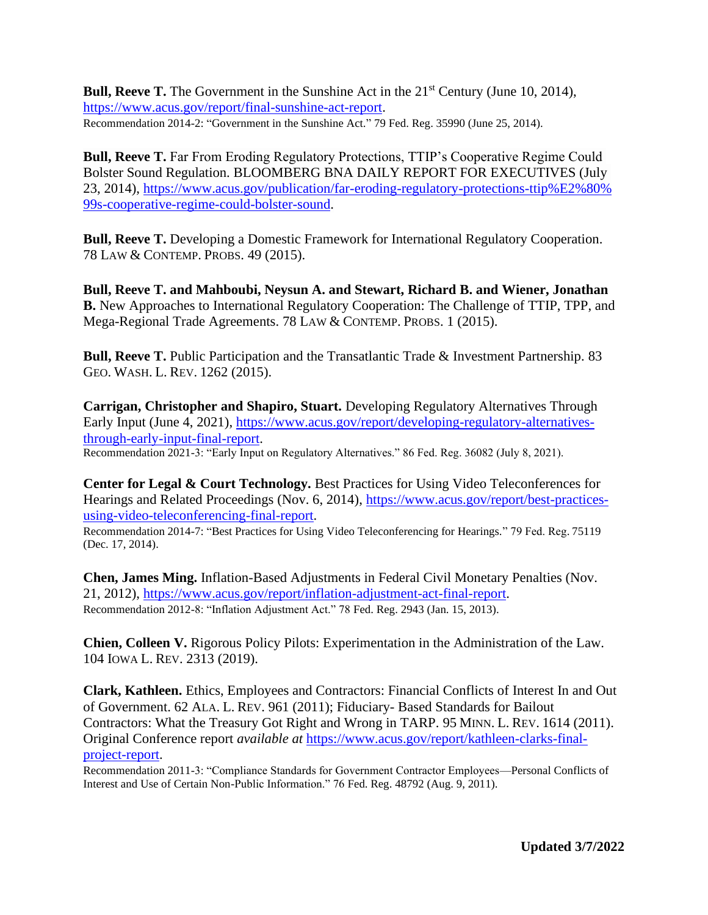**Bull, Reeve T.** The Government in the Sunshine Act in the 21<sup>st</sup> Century (June 10, 2014), [https://www.acus.gov/report/final-sunshine-act-report.](https://www.acus.gov/report/final-sunshine-act-report) Recommendation 2014-2: "Government in the Sunshine Act." 79 Fed. Reg. 35990 (June 25, 2014).

**Bull, Reeve T.** Far From Eroding Regulatory Protections, TTIP's Cooperative Regime Could Bolster Sound Regulation. BLOOMBERG BNA DAILY REPORT FOR EXECUTIVES (July 23, 2014), [https://www.acus.gov/publication/far-eroding-regulatory-protections-ttip%E2%80%](https://www.acus.gov/publication/far-eroding-regulatory-protections-ttip%E2%80%99s-cooperative-regime-could-bolster-sound) [99s-cooperative-regime-could-bolster-sound.](https://www.acus.gov/publication/far-eroding-regulatory-protections-ttip%E2%80%99s-cooperative-regime-could-bolster-sound)

**Bull, Reeve T.** Developing a Domestic Framework for International Regulatory Cooperation. 78 LAW & CONTEMP. PROBS. 49 (2015).

**Bull, Reeve T. and Mahboubi, Neysun A. and Stewart, Richard B. and Wiener, Jonathan B.** New Approaches to International Regulatory Cooperation: The Challenge of TTIP, TPP, and Mega-Regional Trade Agreements. 78 LAW & CONTEMP. PROBS. 1 (2015).

**Bull, Reeve T.** Public Participation and the Transatlantic Trade & Investment Partnership. 83 GEO. WASH. L. REV. 1262 (2015).

**Carrigan, Christopher and Shapiro, Stuart.** Developing Regulatory Alternatives Through Early Input (June 4, 2021), [https://www.acus.gov/report/developing-regulatory-alternatives](https://www.acus.gov/report/developing-regulatory-alternatives-through-early-input-final-report)[through-early-input-final-report.](https://www.acus.gov/report/developing-regulatory-alternatives-through-early-input-final-report)

Recommendation 2021-3: "Early Input on Regulatory Alternatives." 86 Fed. Reg. 36082 (July 8, 2021).

**Center for Legal & Court Technology.** Best Practices for Using Video Teleconferences for Hearings and Related Proceedings (Nov. 6, 2014), [https://www.acus.gov/report/best-practices](https://www.acus.gov/report/best-practices-using-video-teleconferencing-final-report)[using-video-teleconferencing-final-report.](https://www.acus.gov/report/best-practices-using-video-teleconferencing-final-report)

Recommendation 2014-7: "Best Practices for Using Video Teleconferencing for Hearings." 79 Fed. Reg. 75119 (Dec. 17, 2014).

**Chen, James Ming.** Inflation-Based Adjustments in Federal Civil Monetary Penalties (Nov. 21, 2012), [https://www.acus.gov/report/inflation-adjustment-act-final-report.](https://www.acus.gov/report/inflation-adjustment-act-final-report) Recommendation 2012-8: "Inflation Adjustment Act." 78 Fed. Reg. 2943 (Jan. 15, 2013).

**Chien, Colleen V.** Rigorous Policy Pilots: Experimentation in the Administration of the Law. 104 IOWA L. REV. 2313 (2019).

**Clark, Kathleen.** Ethics, Employees and Contractors: Financial Conflicts of Interest In and Out of Government. 62 ALA. L. REV. 961 (2011); Fiduciary- Based Standards for Bailout Contractors: What the Treasury Got Right and Wrong in TARP. 95 MINN. L. REV. 1614 (2011). Original Conference report *available at* [https://www.acus.gov/report/kathleen-clarks-final](https://www.acus.gov/report/kathleen-clarks-final-project-report)[project-report.](https://www.acus.gov/report/kathleen-clarks-final-project-report)

Recommendation 2011-3: "Compliance Standards for Government Contractor Employees—Personal Conflicts of Interest and Use of Certain Non-Public Information." 76 Fed. Reg. 48792 (Aug. 9, 2011).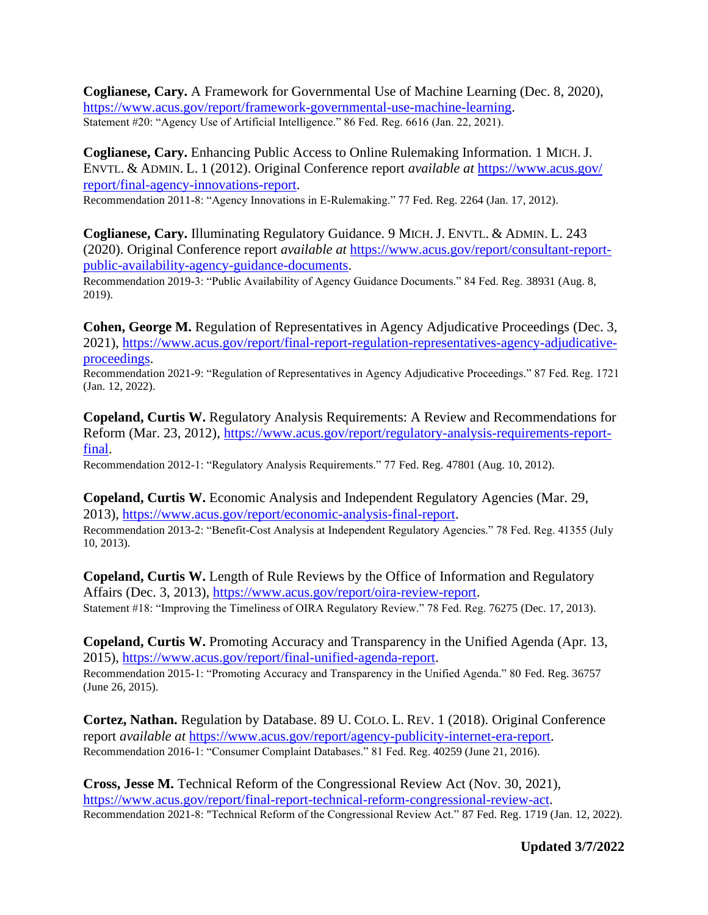**Coglianese, Cary.** A Framework for Governmental Use of Machine Learning (Dec. 8, 2020), [https://www.acus.gov/report/framework-governmental-use-machine-learning.](https://www.acus.gov/report/framework-governmental-use-machine-learning) Statement #20: "Agency Use of Artificial Intelligence." 86 Fed. Reg. 6616 (Jan. 22, 2021).

**Coglianese, Cary.** Enhancing Public Access to Online Rulemaking Information. 1 MICH. J. ENVTL. & ADMIN. L. 1 (2012). Original Conference report *available at* [https://www.acus.gov/](https://www.acus.gov/‌report/‌final-agency-innovations-report) [report/final-agency-innovations-report.](https://www.acus.gov/‌report/‌final-agency-innovations-report)

Recommendation 2011-8: "Agency Innovations in E-Rulemaking." 77 Fed. Reg. 2264 (Jan. 17, 2012).

**Coglianese, Cary.** Illuminating Regulatory Guidance. 9 MICH. J. ENVTL. & ADMIN. L. 243 (2020). Original Conference report *available at* [https://www.acus.gov/report/consultant-report](https://www.acus.gov/report/consultant-report-public-availability-agency-guidance-documents)[public-availability-agency-guidance-documents.](https://www.acus.gov/report/consultant-report-public-availability-agency-guidance-documents)

Recommendation 2019-3: "Public Availability of Agency Guidance Documents." 84 Fed. Reg. 38931 (Aug. 8, 2019).

**Cohen, George M.** Regulation of Representatives in Agency Adjudicative Proceedings (Dec. 3, 2021), [https://www.acus.gov/report/final-report-regulation-representatives-agency-adjudicative](https://www.acus.gov/report/final-report-regulation-representatives-agency-adjudicative-proceedings)[proceedings.](https://www.acus.gov/report/final-report-regulation-representatives-agency-adjudicative-proceedings)

Recommendation 2021-9: "Regulation of Representatives in Agency Adjudicative Proceedings." 87 Fed. Reg. 1721 (Jan. 12, 2022).

**Copeland, Curtis W.** Regulatory Analysis Requirements: A Review and Recommendations for Reform (Mar. 23, 2012), [https://www.acus.gov/report/regulatory-analysis-requirements-report](https://www.acus.gov/report/regulatory-analysis-requirements-report-final)[final.](https://www.acus.gov/report/regulatory-analysis-requirements-report-final)

Recommendation 2012-1: "Regulatory Analysis Requirements." 77 Fed. Reg. 47801 (Aug. 10, 2012).

**Copeland, Curtis W.** Economic Analysis and Independent Regulatory Agencies (Mar. 29, 2013), [https://www.acus.gov/report/economic-analysis-final-report.](https://www.acus.gov/report/economic-analysis-final-report) Recommendation 2013-2: "Benefit-Cost Analysis at Independent Regulatory Agencies." 78 Fed. Reg. 41355 (July 10, 2013).

**Copeland, Curtis W.** Length of Rule Reviews by the Office of Information and Regulatory Affairs (Dec. 3, 2013), [https://www.acus.gov/report/oira-review-report.](https://www.acus.gov/report/oira-review-report) Statement #18: "Improving the Timeliness of OIRA Regulatory Review." 78 Fed. Reg. 76275 (Dec. 17, 2013).

**Copeland, Curtis W.** Promoting Accuracy and Transparency in the Unified Agenda (Apr. 13, 2015), [https://www.acus.gov/report/final-unified-agenda-report.](https://www.acus.gov/report/final-unified-agenda-report)

Recommendation 2015-1: "Promoting Accuracy and Transparency in the Unified Agenda." 80 Fed. Reg. 36757 (June 26, 2015).

**Cortez, Nathan.** Regulation by Database. 89 U. COLO. L. REV. 1 (2018). Original Conference report *available at* [https://www.acus.gov/report/agency-publicity-internet-era-report.](https://www.acus.gov/report/agency-publicity-internet-era-report) Recommendation 2016-1: "Consumer Complaint Databases." 81 Fed. Reg. 40259 (June 21, 2016).

**Cross, Jesse M.** Technical Reform of the Congressional Review Act (Nov. 30, 2021), [https://www.acus.gov/report/final-report-technical-reform-congressional-review-act.](https://www.acus.gov/report/final-report-technical-reform-congressional-review-act) Recommendation 2021-8: "Technical Reform of the Congressional Review Act." 87 Fed. Reg. 1719 (Jan. 12, 2022).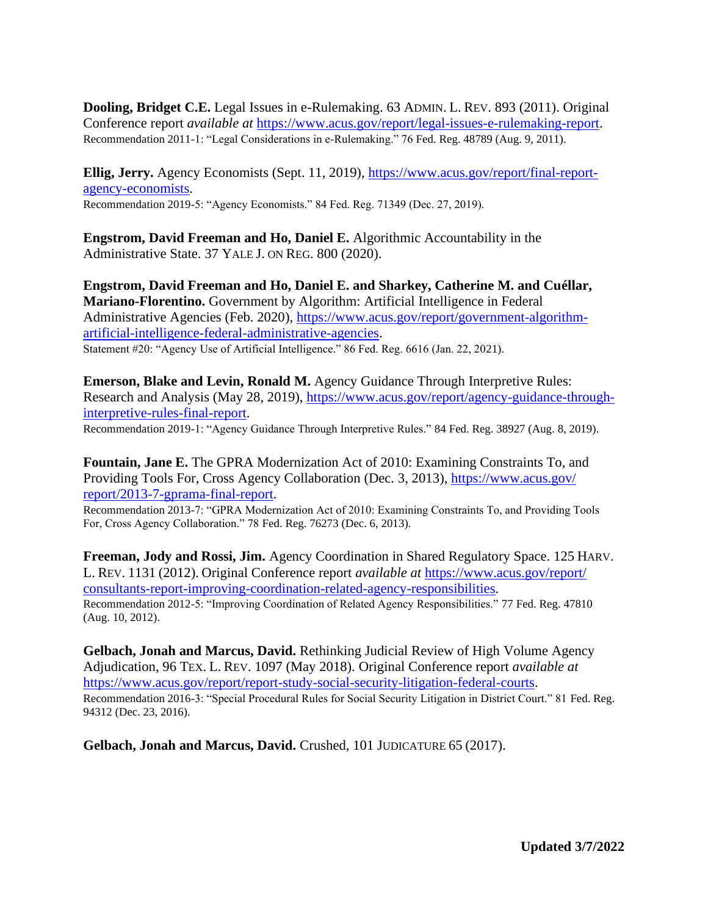**Dooling, Bridget C.E.** Legal Issues in e-Rulemaking. 63 ADMIN. L. REV. 893 (2011). Original Conference report *available at* [https://www.acus.gov/report/legal-issues-e-rulemaking-report.](https://www.acus.gov/report/legal-issues-e-rulemaking-report) Recommendation 2011-1: "Legal Considerations in e-Rulemaking." 76 Fed. Reg. 48789 (Aug. 9, 2011).

**Ellig, Jerry.** Agency Economists (Sept. 11, 2019), [https://www.acus.gov/report/final-report](https://www.acus.gov/report/final-report-agency-economists)[agency-economists.](https://www.acus.gov/report/final-report-agency-economists) Recommendation 2019-5: "Agency Economists." 84 Fed. Reg. 71349 (Dec. 27, 2019).

**Engstrom, David Freeman and Ho, Daniel E.** Algorithmic Accountability in the Administrative State. 37 YALE J. ON REG. 800 (2020).

**Engstrom, David Freeman and Ho, Daniel E. and Sharkey, Catherine M. and Cuéllar, Mariano-Florentino.** Government by Algorithm: Artificial Intelligence in Federal Administrative Agencies (Feb. 2020), [https://www.acus.gov/report/government-algorithm](https://www.acus.gov/report/government-algorithm-artificial-intelligence-federal-administrative-agencies)[artificial-intelligence-federal-administrative-agencies.](https://www.acus.gov/report/government-algorithm-artificial-intelligence-federal-administrative-agencies) Statement #20: "Agency Use of Artificial Intelligence." 86 Fed. Reg. 6616 (Jan. 22, 2021).

**Emerson, Blake and Levin, Ronald M.** Agency Guidance Through Interpretive Rules: Research and Analysis (May 28, 2019), [https://www.acus.gov/report/agency-guidance-through](https://www.acus.gov/report/agency-guidance-through-interpretive-rules-final-report)[interpretive-rules-final-report.](https://www.acus.gov/report/agency-guidance-through-interpretive-rules-final-report)

Recommendation 2019-1: "Agency Guidance Through Interpretive Rules." 84 Fed. Reg. 38927 (Aug. 8, 2019).

**Fountain, Jane E.** The GPRA Modernization Act of 2010: Examining Constraints To, and Providing Tools For, Cross Agency Collaboration (Dec. 3, 2013), [https://www.acus.gov/](https://www.acus.gov/report/2013-7-gprama-final-report) [report/2013-7-gprama-final-report.](https://www.acus.gov/report/2013-7-gprama-final-report)

Recommendation 2013-7: "GPRA Modernization Act of 2010: Examining Constraints To, and Providing Tools For, Cross Agency Collaboration." 78 Fed. Reg. 76273 (Dec. 6, 2013).

**Freeman, Jody and Rossi, Jim.** Agency Coordination in Shared Regulatory Space. 125 HARV. L. REV. 1131 (2012). Original Conference report *available at* [https://www.acus.gov/report/](https://www.acus.gov/report/consultants-report-improving-coordination-related-agency-responsibilities) [consultants-report-improving-coordination-related-agency-responsibilities.](https://www.acus.gov/report/consultants-report-improving-coordination-related-agency-responsibilities) Recommendation 2012-5: "Improving Coordination of Related Agency Responsibilities." 77 Fed. Reg. 47810 (Aug. 10, 2012).

**Gelbach, Jonah and Marcus, David.** Rethinking Judicial Review of High Volume Agency Adjudication, 96 TEX. L. REV. 1097 (May 2018). Original Conference report *available at*  [https://www.acus.gov/report/report-study-social-security-litigation-federal-courts.](https://www.acus.gov/report/report-study-social-security-litigation-federal-courts) Recommendation 2016-3: "Special Procedural Rules for Social Security Litigation in District Court." 81 Fed. Reg. 94312 (Dec. 23, 2016).

**Gelbach, Jonah and Marcus, David.** Crushed, 101 JUDICATURE 65 (2017).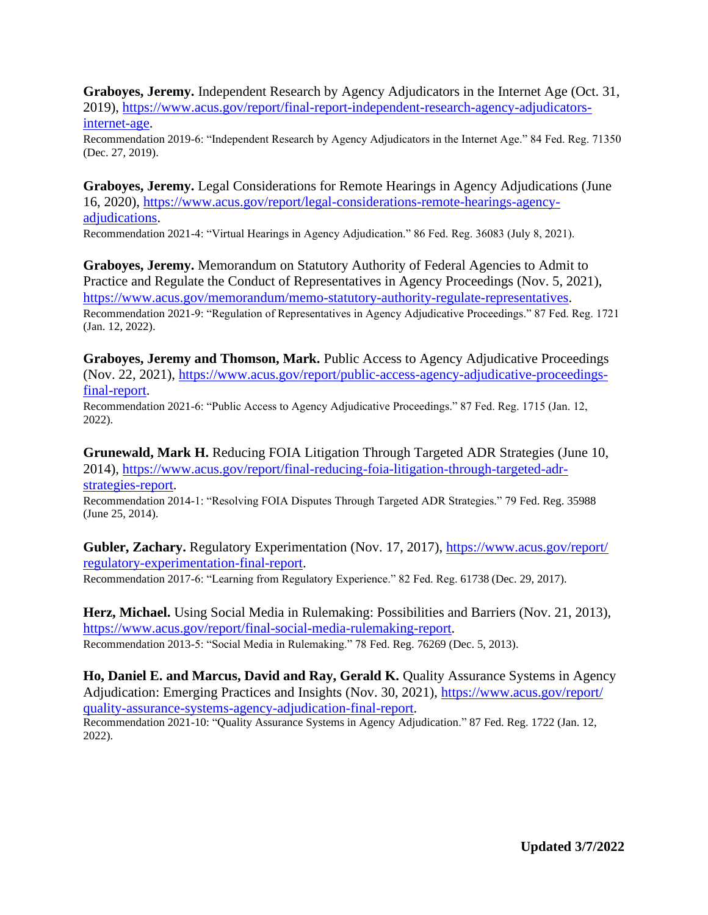**Graboyes, Jeremy.** Independent Research by Agency Adjudicators in the Internet Age (Oct. 31, 2019), [https://www.acus.gov/report/final-report-independent-research-agency-adjudicators](https://www.acus.gov/report/final-report-independent-research-agency-adjudicators-internet-age)[internet-age.](https://www.acus.gov/report/final-report-independent-research-agency-adjudicators-internet-age)

Recommendation 2019-6: "Independent Research by Agency Adjudicators in the Internet Age." 84 Fed. Reg. 71350 (Dec. 27, 2019).

**Graboyes, Jeremy.** Legal Considerations for Remote Hearings in Agency Adjudications (June 16, 2020), [https://www.acus.gov/report/legal-considerations-remote-hearings-agency](https://www.acus.gov/report/legal-considerations-remote-hearings-agency-adjudications)[adjudications.](https://www.acus.gov/report/legal-considerations-remote-hearings-agency-adjudications)

Recommendation 2021-4: "Virtual Hearings in Agency Adjudication." 86 Fed. Reg. 36083 (July 8, 2021).

**Graboyes, Jeremy.** Memorandum on Statutory Authority of Federal Agencies to Admit to Practice and Regulate the Conduct of Representatives in Agency Proceedings (Nov. 5, 2021), [https://www.acus.gov/memorandum/memo-statutory-authority-regulate-representatives.](https://www.acus.gov/memorandum/memo-statutory-authority-regulate-representatives) Recommendation 2021-9: "Regulation of Representatives in Agency Adjudicative Proceedings." 87 Fed. Reg. 1721 (Jan. 12, 2022).

**Graboyes, Jeremy and Thomson, Mark.** Public Access to Agency Adjudicative Proceedings (Nov. 22, 2021), [https://www.acus.gov/report/public-access-agency-adjudicative-proceedings](https://www.acus.gov/report/public-access-agency-adjudicative-proceedings-final-report)[final-report.](https://www.acus.gov/report/public-access-agency-adjudicative-proceedings-final-report)

Recommendation 2021-6: "Public Access to Agency Adjudicative Proceedings." 87 Fed. Reg. 1715 (Jan. 12, 2022).

**Grunewald, Mark H.** Reducing FOIA Litigation Through Targeted ADR Strategies (June 10, 2014), [https://www.acus.gov/report/final-reducing-foia-litigation-through-targeted-adr-](https://www.acus.gov/report/final-reducing-foia-litigation-through-targeted-adr-strategies-report)

[strategies-report.](https://www.acus.gov/report/final-reducing-foia-litigation-through-targeted-adr-strategies-report)

Recommendation 2014-1: "Resolving FOIA Disputes Through Targeted ADR Strategies." 79 Fed. Reg. 35988 (June 25, 2014).

**Gubler, Zachary.** Regulatory Experimentation (Nov. 17, 2017), [https://www.acus.gov/report/](https://www.acus.gov/report/regulatory-experimentation-final-report) [regulatory-experimentation-final-report.](https://www.acus.gov/report/regulatory-experimentation-final-report)

Recommendation 2017-6: "Learning from Regulatory Experience." 82 Fed. Reg. 61738 (Dec. 29, 2017).

**Herz, Michael.** Using Social Media in Rulemaking: Possibilities and Barriers (Nov. 21, 2013), [https://www.acus.gov/report/final-social-media-rulemaking-report.](https://www.acus.gov/report/final-social-media-rulemaking-report) Recommendation 2013-5: "Social Media in Rulemaking." 78 Fed. Reg. 76269 (Dec. 5, 2013).

**Ho, Daniel E. and Marcus, David and Ray, Gerald K.** Quality Assurance Systems in Agency Adjudication: Emerging Practices and Insights (Nov. 30, 2021), [https://www.acus.gov/report/](https://www.acus.gov/report/quality-assurance-systems-agency-adjudication-final-report) [quality-assurance-systems-agency-adjudication-final-report.](https://www.acus.gov/report/quality-assurance-systems-agency-adjudication-final-report)

Recommendation 2021-10: "Quality Assurance Systems in Agency Adjudication." 87 Fed. Reg. 1722 (Jan. 12, 2022).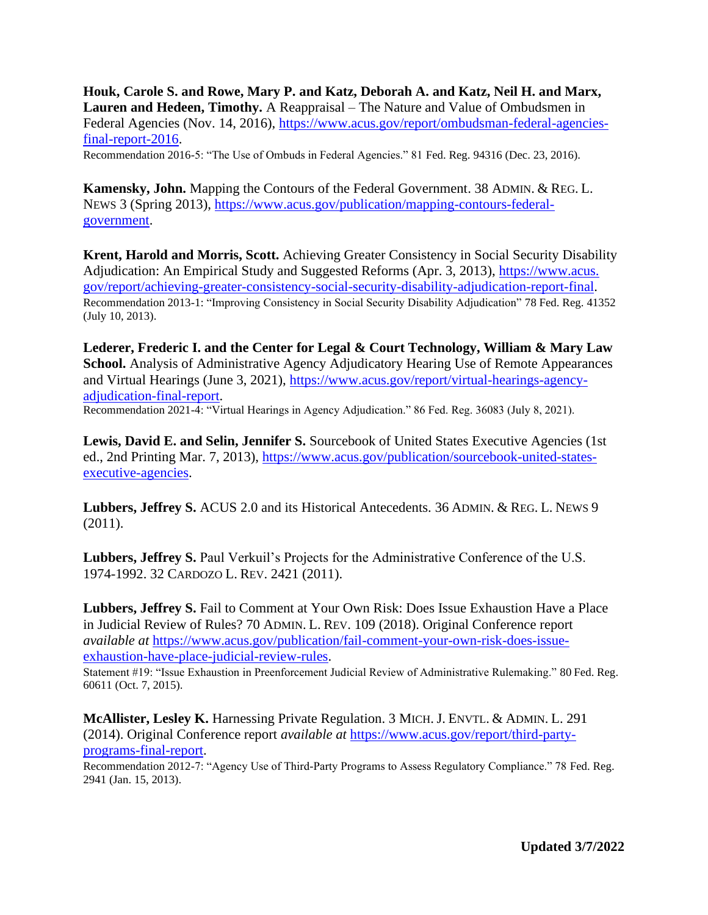**Houk, Carole S. and Rowe, Mary P. and Katz, Deborah A. and Katz, Neil H. and Marx, Lauren and Hedeen, Timothy.** A Reappraisal – The Nature and Value of Ombudsmen in Federal Agencies (Nov. 14, 2016), [https://www.acus.gov/report/ombudsman-federal-agencies](https://www.acus.gov/report/ombudsman-federal-agencies-final-report-2016)[final-report-2016.](https://www.acus.gov/report/ombudsman-federal-agencies-final-report-2016)

Recommendation 2016-5: "The Use of Ombuds in Federal Agencies." 81 Fed. Reg. 94316 (Dec. 23, 2016).

**Kamensky, John.** Mapping the Contours of the Federal Government. 38 ADMIN. & REG. L. NEWS 3 (Spring 2013), [https://www.acus.gov/publication/mapping-contours-federal](https://www.acus.gov/publication/mapping-contours-federal-government)[government.](https://www.acus.gov/publication/mapping-contours-federal-government)

**Krent, Harold and Morris, Scott.** Achieving Greater Consistency in Social Security Disability Adjudication: An Empirical Study and Suggested Reforms (Apr. 3, 2013), [https://www.acus.](https://www.acus.gov/report/achieving-greater-consistency-social-security-disability-adjudication-report-final) [gov/report/achieving-greater-consistency-social-security-disability-adjudication-report-final.](https://www.acus.gov/report/achieving-greater-consistency-social-security-disability-adjudication-report-final) Recommendation 2013-1: "Improving Consistency in Social Security Disability Adjudication" 78 Fed. Reg. 41352 (July 10, 2013).

**Lederer, Frederic I. and the Center for Legal & Court Technology, William & Mary Law School.** Analysis of Administrative Agency Adjudicatory Hearing Use of Remote Appearances and Virtual Hearings (June 3, 2021), [https://www.acus.gov/report/virtual-hearings-agency](https://www.acus.gov/report/virtual-hearings-agency-adjudication-final-report)[adjudication-final-report.](https://www.acus.gov/report/virtual-hearings-agency-adjudication-final-report) Recommendation 2021-4: "Virtual Hearings in Agency Adjudication." 86 Fed. Reg. 36083 (July 8, 2021).

Lewis, David E. and Selin, Jennifer S. Sourcebook of United States Executive Agencies (1st ed., 2nd Printing Mar. 7, 2013), [https://www.acus.gov/publication/sourcebook-united-states](https://www.acus.gov/publication/sourcebook-united-states-executive-agencies)[executive-agencies.](https://www.acus.gov/publication/sourcebook-united-states-executive-agencies)

**Lubbers, Jeffrey S.** ACUS 2.0 and its Historical Antecedents. 36 ADMIN. & REG. L. NEWS 9 (2011).

**Lubbers, Jeffrey S.** Paul Verkuil's Projects for the Administrative Conference of the U.S. 1974-1992. 32 CARDOZO L. REV. 2421 (2011).

**Lubbers, Jeffrey S.** Fail to Comment at Your Own Risk: Does Issue Exhaustion Have a Place in Judicial Review of Rules? 70 ADMIN. L. REV. 109 (2018). Original Conference report *available at* [https://www.acus.gov/publication/fail-comment-your-own-risk-does-issue](https://www.acus.gov/publication/fail-comment-your-own-risk-does-issue-exhaustion-have-place-judicial-review-rules)[exhaustion-have-place-judicial-review-rules.](https://www.acus.gov/publication/fail-comment-your-own-risk-does-issue-exhaustion-have-place-judicial-review-rules)

Statement #19: "Issue Exhaustion in Preenforcement Judicial Review of Administrative Rulemaking." 80 Fed. Reg. 60611 (Oct. 7, 2015).

**McAllister, Lesley K.** Harnessing Private Regulation. 3 MICH. J. ENVTL. & ADMIN. L. 291 (2014). Original Conference report *available at* [https://www.acus.gov/report/third-party](https://www.acus.gov/report/third-party-programs-final-report)[programs-final-report.](https://www.acus.gov/report/third-party-programs-final-report)

Recommendation 2012-7: "Agency Use of Third-Party Programs to Assess Regulatory Compliance." 78 Fed. Reg. 2941 (Jan. 15, 2013).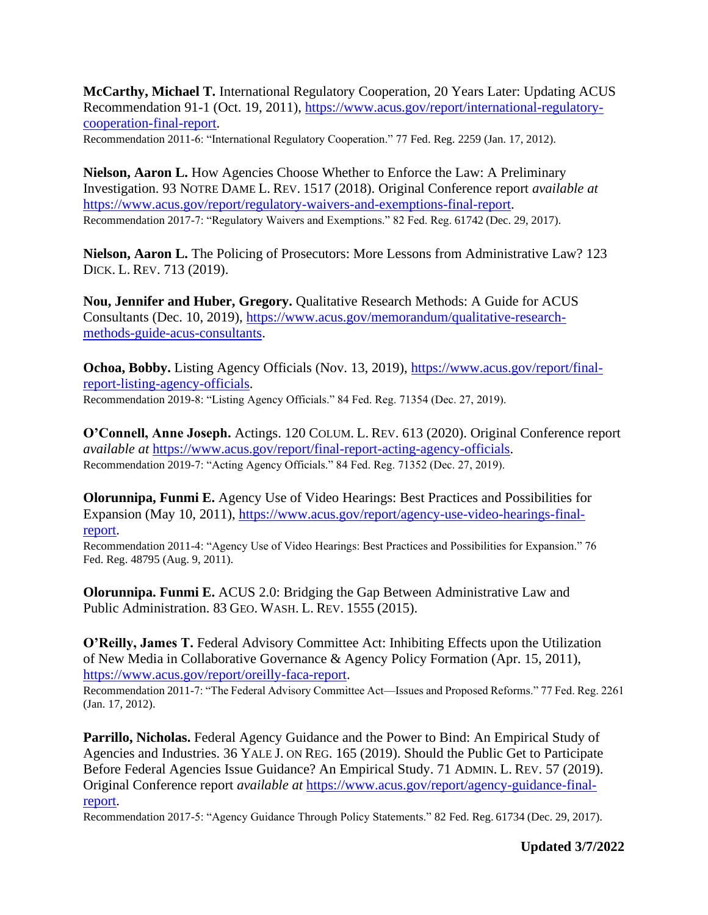**McCarthy, Michael T.** International Regulatory Cooperation, 20 Years Later: Updating ACUS Recommendation 91-1 (Oct. 19, 2011), [https://www.acus.gov/report/international-regulatory](https://www.acus.gov/report/international-regulatory-cooperation-final-report)[cooperation-final-report.](https://www.acus.gov/report/international-regulatory-cooperation-final-report)

Recommendation 2011-6: "International Regulatory Cooperation." 77 Fed. Reg. 2259 (Jan. 17, 2012).

**Nielson, Aaron L.** How Agencies Choose Whether to Enforce the Law: A Preliminary Investigation. 93 NOTRE DAME L. REV. 1517 (2018). Original Conference report *available at* [https://www.acus.gov/report/regulatory-waivers-and-exemptions-final-report.](https://www.acus.gov/report/regulatory-waivers-and-exemptions-final-report) Recommendation 2017-7: "Regulatory Waivers and Exemptions." 82 Fed. Reg. 61742 (Dec. 29, 2017).

**Nielson, Aaron L.** The Policing of Prosecutors: More Lessons from Administrative Law? 123 DICK. L. REV. 713 (2019).

**Nou, Jennifer and Huber, Gregory.** Qualitative Research Methods: A Guide for ACUS Consultants (Dec. 10, 2019), [https://www.acus.gov/memorandum/qualitative-research](https://www.acus.gov/memorandum/qualitative-research-methods-guide-acus-consultants)[methods-guide-acus-consultants.](https://www.acus.gov/memorandum/qualitative-research-methods-guide-acus-consultants)

**Ochoa, Bobby.** Listing Agency Officials (Nov. 13, 2019), [https://www.acus.gov/report/final](https://www.acus.gov/report/final-report-listing-agency-officials)[report-listing-agency-officials.](https://www.acus.gov/report/final-report-listing-agency-officials) Recommendation 2019-8: "Listing Agency Officials." 84 Fed. Reg. 71354 (Dec. 27, 2019).

**O'Connell, Anne Joseph.** Actings. 120 COLUM. L. REV. 613 (2020). Original Conference report *available at* [https://www.acus.gov/report/final-report-acting-agency-officials.](https://www.acus.gov/report/final-report-acting-agency-officials) Recommendation 2019-7: "Acting Agency Officials." 84 Fed. Reg. 71352 (Dec. 27, 2019).

**Olorunnipa, Funmi E.** Agency Use of Video Hearings: Best Practices and Possibilities for Expansion (May 10, 2011), [https://www.acus.gov/report/agency-use-video-hearings-final](https://www.acus.gov/report/agency-use-video-hearings-final-report)[report.](https://www.acus.gov/report/agency-use-video-hearings-final-report)

Recommendation 2011-4: "Agency Use of Video Hearings: Best Practices and Possibilities for Expansion." 76 Fed. Reg. 48795 (Aug. 9, 2011).

**Olorunnipa. Funmi E.** ACUS 2.0: Bridging the Gap Between Administrative Law and Public Administration. 83 GEO. WASH. L. REV. 1555 (2015).

**O'Reilly, James T.** Federal Advisory Committee Act: Inhibiting Effects upon the Utilization of New Media in Collaborative Governance & Agency Policy Formation (Apr. 15, 2011), [https://www.acus.gov/report/oreilly-faca-report.](https://www.acus.gov/report/oreilly-faca-report)

Recommendation 2011-7: "The Federal Advisory Committee Act—Issues and Proposed Reforms." 77 Fed. Reg. 2261 (Jan. 17, 2012).

Parrillo, Nicholas. Federal Agency Guidance and the Power to Bind: An Empirical Study of Agencies and Industries. 36 YALE J. ON REG. 165 (2019). Should the Public Get to Participate Before Federal Agencies Issue Guidance? An Empirical Study. 71 ADMIN. L. REV. 57 (2019). Original Conference report *available at* [https://www.acus.gov/report/agency-guidance-final](https://www.acus.gov/report/agency-guidance-final-report)[report.](https://www.acus.gov/report/agency-guidance-final-report)

Recommendation 2017-5: "Agency Guidance Through Policy Statements." 82 Fed. Reg. 61734 (Dec. 29, 2017).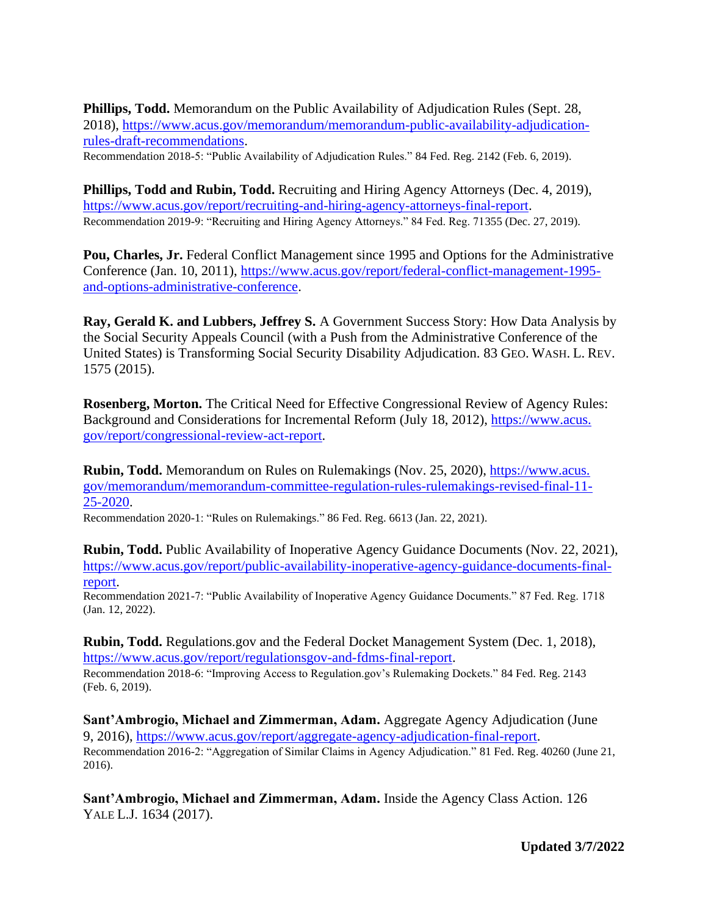**Phillips, Todd.** Memorandum on the Public Availability of Adjudication Rules (Sept. 28, 2018), [https://www.acus.gov/memorandum/memorandum-public-availability-adjudication](https://www.acus.gov/memorandum/memorandum-public-availability-adjudication-rules-draft-recommendations)[rules-draft-recommendations.](https://www.acus.gov/memorandum/memorandum-public-availability-adjudication-rules-draft-recommendations)

Recommendation 2018-5: "Public Availability of Adjudication Rules." 84 Fed. Reg. 2142 (Feb. 6, 2019).

**Phillips, Todd and Rubin, Todd.** Recruiting and Hiring Agency Attorneys (Dec. 4, 2019), [https://www.acus.gov/report/recruiting-and-hiring-agency-attorneys-final-report.](https://www.acus.gov/report/recruiting-and-hiring-agency-attorneys-final-report) Recommendation 2019-9: "Recruiting and Hiring Agency Attorneys." 84 Fed. Reg. 71355 (Dec. 27, 2019).

**Pou, Charles, Jr.** Federal Conflict Management since 1995 and Options for the Administrative Conference (Jan. 10, 2011), [https://www.acus.gov/report/federal-conflict-management-1995](https://www.acus.gov/report/federal-conflict-management-1995-and-options-administrative-conference) [and-options-administrative-conference.](https://www.acus.gov/report/federal-conflict-management-1995-and-options-administrative-conference)

**Ray, Gerald K. and Lubbers, Jeffrey S.** A Government Success Story: How Data Analysis by the Social Security Appeals Council (with a Push from the Administrative Conference of the United States) is Transforming Social Security Disability Adjudication. 83 GEO. WASH. L. REV. 1575 (2015).

**Rosenberg, Morton.** The Critical Need for Effective Congressional Review of Agency Rules: Background and Considerations for Incremental Reform (July 18, 2012), [https://www.acus.](https://www.acus.gov/report/congressional-review-act-report) [gov/report/congressional-review-act-report.](https://www.acus.gov/report/congressional-review-act-report)

**Rubin, Todd.** Memorandum on Rules on Rulemakings (Nov. 25, 2020), [https://www.acus.](https://www.acus.gov/memorandum/memorandum-committee-regulation-rules-rulemakings-revised-final-11-25-2020) [gov/memorandum/memorandum-committee-regulation-rules-rulemakings-revised-final-11-](https://www.acus.gov/memorandum/memorandum-committee-regulation-rules-rulemakings-revised-final-11-25-2020) [25-2020.](https://www.acus.gov/memorandum/memorandum-committee-regulation-rules-rulemakings-revised-final-11-25-2020)

Recommendation 2020-1: "Rules on Rulemakings." 86 Fed. Reg. 6613 (Jan. 22, 2021).

**Rubin, Todd.** Public Availability of Inoperative Agency Guidance Documents (Nov. 22, 2021), [https://www.acus.gov/report/public-availability-inoperative-agency-guidance-documents-final](https://www.acus.gov/report/public-availability-inoperative-agency-guidance-documents-final-report)[report.](https://www.acus.gov/report/public-availability-inoperative-agency-guidance-documents-final-report)

Recommendation 2021-7: "Public Availability of Inoperative Agency Guidance Documents." 87 Fed. Reg. 1718 (Jan. 12, 2022).

**Rubin, Todd.** Regulations.gov and the Federal Docket Management System (Dec. 1, 2018), [https://www.acus.gov/report/regulationsgov-and-fdms-final-report.](https://www.acus.gov/report/regulationsgov-and-fdms-final-report)

Recommendation 2018-6: "Improving Access to Regulation.gov's Rulemaking Dockets." 84 Fed. Reg. 2143 (Feb. 6, 2019).

**Sant'Ambrogio, Michael and Zimmerman, Adam.** Aggregate Agency Adjudication (June 9, 2016), [https://www.acus.gov/report/aggregate-agency-adjudication-final-report.](https://www.acus.gov/report/aggregate-agency-adjudication-final-report) Recommendation 2016-2: "Aggregation of Similar Claims in Agency Adjudication." 81 Fed. Reg. 40260 (June 21, 2016).

**Sant'Ambrogio, Michael and Zimmerman, Adam.** Inside the Agency Class Action. 126 YALE L.J. 1634 (2017).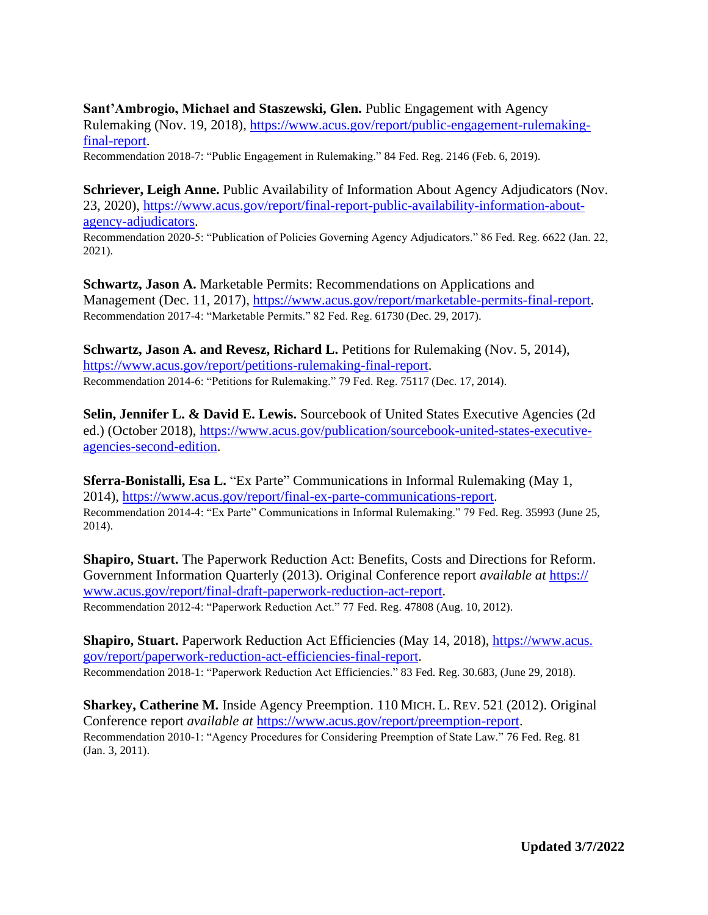## **Sant'Ambrogio, Michael and Staszewski, Glen.** Public Engagement with Agency

Rulemaking (Nov. 19, 2018), [https://www.acus.gov/report/public-engagement-rulemaking](https://www.acus.gov/report/public-engagement-rulemaking-final-report)[final-report.](https://www.acus.gov/report/public-engagement-rulemaking-final-report)

Recommendation 2018-7: "Public Engagement in Rulemaking." 84 Fed. Reg. 2146 (Feb. 6, 2019).

**Schriever, Leigh Anne.** Public Availability of Information About Agency Adjudicators (Nov. 23, 2020), [https://www.acus.gov/report/final-report-public-availability-information-about](https://www.acus.gov/report/final-report-public-availability-information-about-agency-adjudicators)[agency-adjudicators.](https://www.acus.gov/report/final-report-public-availability-information-about-agency-adjudicators)

Recommendation 2020-5: "Publication of Policies Governing Agency Adjudicators." 86 Fed. Reg. 6622 (Jan. 22, 2021).

**Schwartz, Jason A.** Marketable Permits: Recommendations on Applications and Management (Dec. 11, 2017), [https://www.acus.gov/report/marketable-permits-final-report.](https://www.acus.gov/report/marketable-permits-final-report) Recommendation 2017-4: "Marketable Permits." 82 Fed. Reg. 61730 (Dec. 29, 2017).

**Schwartz, Jason A. and Revesz, Richard L.** Petitions for Rulemaking (Nov. 5, 2014), [https://www.acus.gov/report/petitions-rulemaking-final-report.](https://www.acus.gov/report/petitions-rulemaking-final-report) Recommendation 2014-6: "Petitions for Rulemaking." 79 Fed. Reg. 75117 (Dec. 17, 2014).

**Selin, Jennifer L. & David E. Lewis.** Sourcebook of United States Executive Agencies (2d ed.) (October 2018), [https://www.acus.gov/publication/sourcebook-united-states-executive](https://www.acus.gov/publication/sourcebook-united-states-executive-agencies-second-edition)[agencies-second-edition.](https://www.acus.gov/publication/sourcebook-united-states-executive-agencies-second-edition)

**Sferra-Bonistalli, Esa L.** "Ex Parte" Communications in Informal Rulemaking (May 1, 2014), [https://www.acus.gov/report/final-ex-parte-communications-report.](https://www.acus.gov/report/final-ex-parte-communications-report) Recommendation 2014-4: "Ex Parte" Communications in Informal Rulemaking." 79 Fed. Reg. 35993 (June 25, 2014).

**Shapiro, Stuart.** The Paperwork Reduction Act: Benefits, Costs and Directions for Reform. Government Information Quarterly (2013). Original Conference report *available at* [https://](https://www.acus.gov/report/final-draft-paperwork-reduction-act-report) [www.acus.gov/report/final-draft-paperwork-reduction-act-report.](https://www.acus.gov/report/final-draft-paperwork-reduction-act-report) Recommendation 2012-4: "Paperwork Reduction Act." 77 Fed. Reg. 47808 (Aug. 10, 2012).

**Shapiro, Stuart.** Paperwork Reduction Act Efficiencies (May 14, 2018), [https://www.acus.](https://www.acus.gov/report/paperwork-reduction-act-efficiencies-final-report) [gov/report/paperwork-reduction-act-efficiencies-final-report.](https://www.acus.gov/report/paperwork-reduction-act-efficiencies-final-report) Recommendation 2018-1: "Paperwork Reduction Act Efficiencies." 83 Fed. Reg. 30.683, (June 29, 2018).

**Sharkey, Catherine M.** Inside Agency Preemption. 110 MICH. L. REV. 521 (2012). Original Conference report *available at* [https://www.acus.gov/report/preemption-report.](https://www.acus.gov/report/preemption-report) Recommendation 2010-1: "Agency Procedures for Considering Preemption of State Law." 76 Fed. Reg. 81 (Jan. 3, 2011).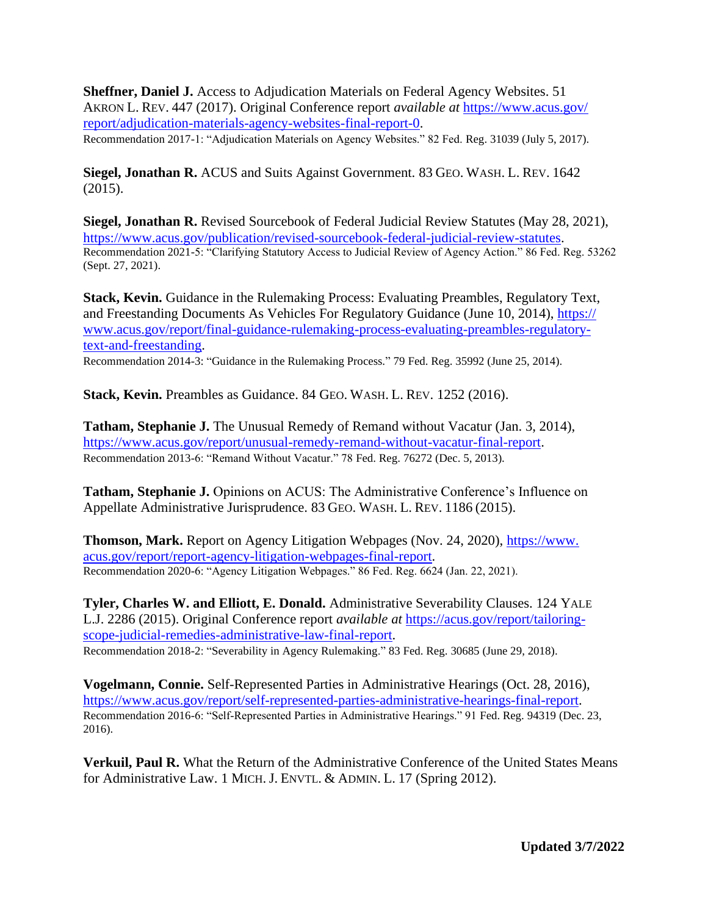**Sheffner, Daniel J.** Access to Adjudication Materials on Federal Agency Websites. 51 AKRON L. REV. 447 (2017). Original Conference report *available at* [https://www.acus.gov/](https://www.acus.gov/report/adjudication-materials-agency-websites-final-report-0) [report/adjudication-materials-agency-websites-final-report-0.](https://www.acus.gov/report/adjudication-materials-agency-websites-final-report-0)

Recommendation 2017-1: "Adjudication Materials on Agency Websites." 82 Fed. Reg. 31039 (July 5, 2017).

**Siegel, Jonathan R.** ACUS and Suits Against Government. 83 GEO. WASH. L. REV. 1642 (2015).

**Siegel, Jonathan R.** Revised Sourcebook of Federal Judicial Review Statutes (May 28, 2021), [https://www.acus.gov/publication/revised-sourcebook-federal-judicial-review-statutes.](https://www.acus.gov/publication/revised-sourcebook-federal-judicial-review-statutes) Recommendation 2021-5: "Clarifying Statutory Access to Judicial Review of Agency Action." 86 Fed. Reg. 53262 (Sept. 27, 2021).

**Stack, Kevin.** Guidance in the Rulemaking Process: Evaluating Preambles, Regulatory Text, and Freestanding Documents As Vehicles For Regulatory Guidance (June 10, 2014), [https://](https://www.acus.gov/report/final-guidance-rulemaking-process-evaluating-preambles-regulatory-text-and-freestanding) [www.acus.gov/report/final-guidance-rulemaking-process-evaluating-preambles-regulatory](https://www.acus.gov/report/final-guidance-rulemaking-process-evaluating-preambles-regulatory-text-and-freestanding)[text-and-freestanding.](https://www.acus.gov/report/final-guidance-rulemaking-process-evaluating-preambles-regulatory-text-and-freestanding)

Recommendation 2014-3: "Guidance in the Rulemaking Process." 79 Fed. Reg. 35992 (June 25, 2014).

**Stack, Kevin.** Preambles as Guidance. 84 GEO. WASH. L. REV. 1252 (2016).

**Tatham, Stephanie J.** The Unusual Remedy of Remand without Vacatur (Jan. 3, 2014), [https://www.acus.gov/report/unusual-remedy-remand-without-vacatur-final-report.](https://www.acus.gov/report/unusual-remedy-remand-without-vacatur-final-report) Recommendation 2013-6: "Remand Without Vacatur." 78 Fed. Reg. 76272 (Dec. 5, 2013).

**Tatham, Stephanie J.** Opinions on ACUS: The Administrative Conference's Influence on Appellate Administrative Jurisprudence. 83 GEO. WASH. L. REV. 1186 (2015).

**Thomson, Mark.** Report on Agency Litigation Webpages (Nov. 24, 2020), [https://www.](https://www.acus.gov/report/report-agency-litigation-webpages-final-report) [acus.gov/report/report-agency-litigation-webpages-final-report.](https://www.acus.gov/report/report-agency-litigation-webpages-final-report) Recommendation 2020-6: "Agency Litigation Webpages." 86 Fed. Reg. 6624 (Jan. 22, 2021).

**Tyler, Charles W. and Elliott, E. Donald.** Administrative Severability Clauses. 124 YALE L.J. 2286 (2015). Original Conference report *available at* [https://acus.gov/report/tailoring](https://acus.gov/report/tailoring-scope-judicial-remedies-administrative-law-final-report)[scope-judicial-remedies-administrative-law-final-report.](https://acus.gov/report/tailoring-scope-judicial-remedies-administrative-law-final-report) Recommendation 2018-2: "Severability in Agency Rulemaking." 83 Fed. Reg. 30685 (June 29, 2018).

**Vogelmann, Connie.** Self-Represented Parties in Administrative Hearings (Oct. 28, 2016), [https://www.acus.gov/report/self-represented-parties-administrative-hearings-final-report.](https://www.acus.gov/report/self-represented-parties-administrative-hearings-final-report) Recommendation 2016-6: "Self-Represented Parties in Administrative Hearings." 91 Fed. Reg. 94319 (Dec. 23, 2016).

**Verkuil, Paul R.** What the Return of the Administrative Conference of the United States Means for Administrative Law. 1 MICH. J. ENVTL. & ADMIN. L. 17 (Spring 2012).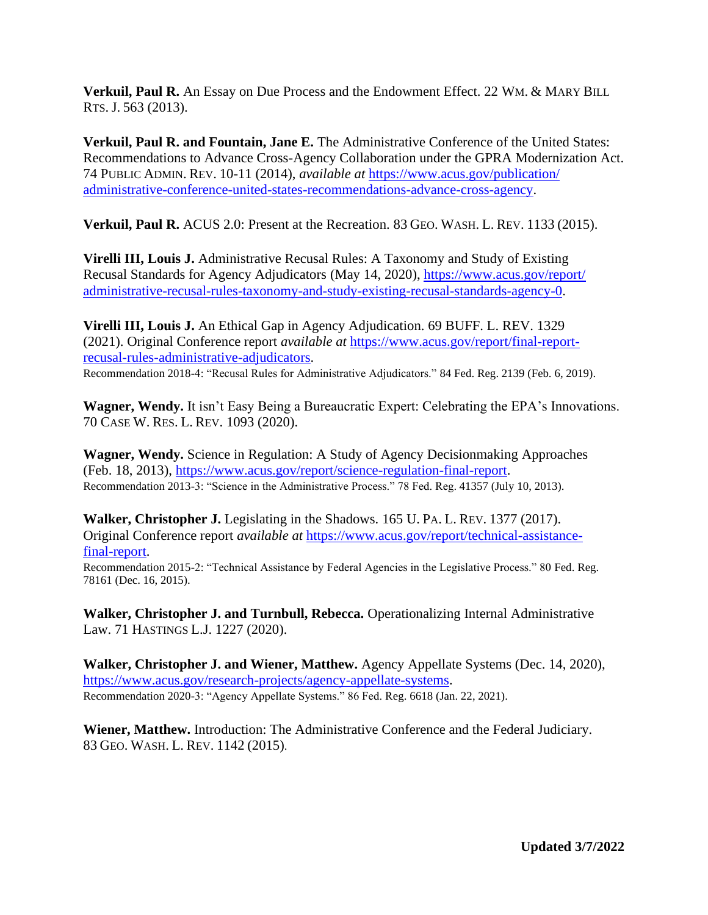**Verkuil, Paul R.** An Essay on Due Process and the Endowment Effect. 22 WM. & MARY BILL RTS. J. 563 (2013).

**Verkuil, Paul R. and Fountain, Jane E.** The Administrative Conference of the United States: Recommendations to Advance Cross-Agency Collaboration under the GPRA Modernization Act. 74 PUBLIC ADMIN. REV. 10-11 (2014), *available at* [https://www.acus.gov/publication/](https://www.acus.gov/publication/administrative-conference-united-states-recommendations-advance-cross-agency) [administrative-conference-united-states-recommendations-advance-cross-agency.](https://www.acus.gov/publication/administrative-conference-united-states-recommendations-advance-cross-agency)

**Verkuil, Paul R.** ACUS 2.0: Present at the Recreation. 83 GEO. WASH. L. REV. 1133 (2015).

**Virelli III, Louis J.** Administrative Recusal Rules: A Taxonomy and Study of Existing Recusal Standards for Agency Adjudicators (May 14, 2020), [https://www.acus.gov/report/](https://www.acus.gov/report/administrative-recusal-rules-taxonomy-and-study-existing-recusal-standards-agency-0) [administrative-recusal-rules-taxonomy-and-study-existing-recusal-standards-agency-0.](https://www.acus.gov/report/administrative-recusal-rules-taxonomy-and-study-existing-recusal-standards-agency-0)

**Virelli III, Louis J.** An Ethical Gap in Agency Adjudication. 69 BUFF. L. REV. 1329 (2021). Original Conference report *available at* [https://www.acus.gov/report/final-report](https://www.acus.gov/report/final-report-recusal-rules-administrative-adjudicators)[recusal-rules-administrative-adjudicators.](https://www.acus.gov/report/final-report-recusal-rules-administrative-adjudicators)

Recommendation 2018-4: "Recusal Rules for Administrative Adjudicators." 84 Fed. Reg. 2139 (Feb. 6, 2019).

**Wagner, Wendy.** It isn't Easy Being a Bureaucratic Expert: Celebrating the EPA's Innovations. 70 CASE W. RES. L. REV. 1093 (2020).

**Wagner, Wendy.** Science in Regulation: A Study of Agency Decisionmaking Approaches (Feb. 18, 2013), [https://www.acus.gov/report/science-regulation-final-report.](https://www.acus.gov/report/science-regulation-final-report) Recommendation 2013-3: "Science in the Administrative Process." 78 Fed. Reg. 41357 (July 10, 2013).

**Walker, Christopher J.** Legislating in the Shadows. 165 U. PA. L. REV. 1377 (2017). Original Conference report *available at* [https://www.acus.gov/report/technical-assistance](https://www.acus.gov/report/technical-assistance-final-report)[final-report.](https://www.acus.gov/report/technical-assistance-final-report)

Recommendation 2015-2: "Technical Assistance by Federal Agencies in the Legislative Process." 80 Fed. Reg. 78161 (Dec. 16, 2015).

**Walker, Christopher J. and Turnbull, Rebecca.** Operationalizing Internal Administrative Law. 71 HASTINGS L.J. 1227 (2020).

**Walker, Christopher J. and Wiener, Matthew.** Agency Appellate Systems (Dec. 14, 2020), [https://www.acus.gov/research-projects/agency-appellate-systems.](https://www.acus.gov/research-projects/agency-appellate-systems) Recommendation 2020-3: "Agency Appellate Systems." 86 Fed. Reg. 6618 (Jan. 22, 2021).

**Wiener, Matthew.** Introduction: The Administrative Conference and the Federal Judiciary. 83 GEO. WASH. L. REV. 1142 (2015).